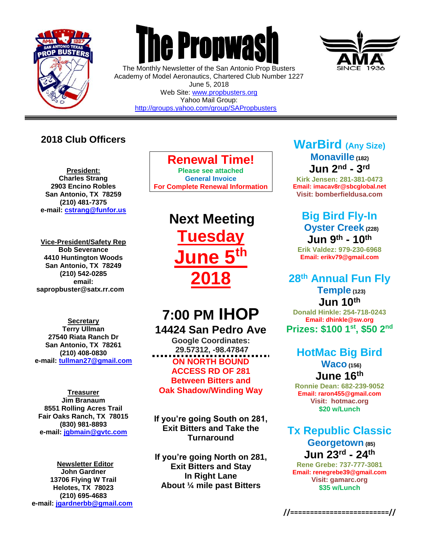

 $\overline{a}$ 



The Monthly Newsletter of the San Antonio Prop Busters Academy of Model Aeronautics, Chartered Club Number 1227 June 5, 2018 Web Site: [www.propbusters.org](http://www.propbusters.org/) Yahoo Mail Group:

<http://groups.yahoo.com/group/SAPropbusters>

### **2018 Club Officers**

**President: Charles Strang 2903 Encino Robles San Antonio, TX 78259 (210) 481-7375 e-mail: [cstrang@funfor.us](mailto:cstrang@funfor.us)**

**Vice-President/Safety Rep Bob Severance 4410 Huntington Woods San Antonio, TX 78249 (210) 542-0285 email: sapropbuster@satx.rr.com**

**Secretary Terry Ullman 27540 Riata Ranch Dr San Antonio, TX 78261 (210) 408-0830 e-mail: [tullman27@gmail.com](mailto:tullman27@gmail.com)**

**Treasurer Jim Branaum 8551 Rolling Acres Trail Fair Oaks Ranch, TX 78015 (830) 981-8893 e-mail: [jgbmain@gvtc.com](mailto:jgbmain@gvtc.com)**

**Newsletter Editor John Gardner 13706 Flying W Trail Helotes, TX 78023 (210) 695-4683 e-mail: [jgardnerbb@gmail.com](mailto:jgardnerbb@gmail.com)**

### **Renewal Time!**

**Please see attached General Invoice For Complete Renewal Information**

> **Next Meeting Tuesday June 5th 2018**

# **7:00 PM IHOP 14424 San Pedro Ave**

**Google Coordinates: 29.57312, -98.47847 ON NORTH BOUND ACCESS RD OF 281 Between Bitters and Oak Shadow/Winding Way**

**If you're going South on 281, Exit Bitters and Take the Turnaround**

**If you're going North on 281, Exit Bitters and Stay In Right Lane About ¼ mile past Bitters**

### **WarBird (Any Size) Monaville (182) Jun 2nd - 3 rd**

**Kirk Jensen: 281-381-0473 Email: imacav8r@sbcglobal.net Visit: bomberfieldusa.com**

## **Big Bird Fly-In Oyster Creek (228) Jun 9 th - 10th**

**Erik Valdez: 979-230-6968 Email: erikv79@gmail.com**

# **28th Annual Fun Fly**

**Temple (123) Jun 10th Donald Hinkle: 254-718-0243 Email: dhinkle@sw.org Prizes: \$100 1st , \$50 2nd**

#### **HotMac Big Bird Waco (156) June 16th**

**Ronnie Dean: 682-239-9052 Email: raron455@gmail.com Visit: hotmac.org \$20 w/Lunch**

### **Tx Republic Classic Georgetown (85) Jun 23rd - 24th**

**Rene Grebe: 737-777-3081 Email: renegrebe39@gmail.com Visit: gamarc.org \$35 w/Lunch** 

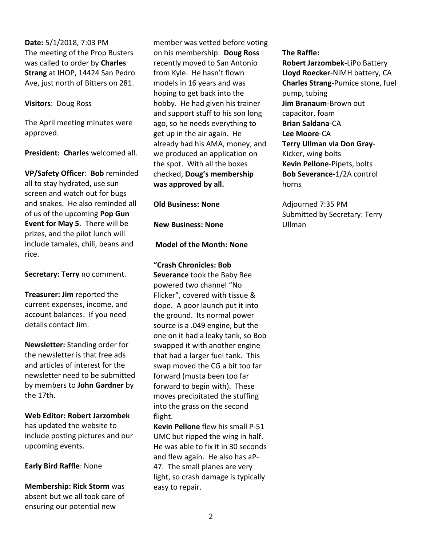**Date:** 5/1/2018, 7:03 PM The meeting of the Prop Busters was called to order by **Charles Strang** at IHOP, 14424 San Pedro Ave, just north of Bitters on 281.

#### **Visitors**: Doug Ross

The April meeting minutes were approved.

**President: Charles** welcomed all.

**VP/Safety Officer**: **Bob** reminded all to stay hydrated, use sun screen and watch out for bugs and snakes. He also reminded all of us of the upcoming **Pop Gun Event for May 5**. There will be prizes, and the pilot lunch will include tamales, chili, beans and rice.

**Secretary: Terry** no comment.

**Treasurer: Jim** reported the current expenses, income, and account balances. If you need details contact Jim.

**Newsletter:** Standing order for the newsletter is that free ads and articles of interest for the newsletter need to be submitted by members to **John Gardner** by the 17th.

**Web Editor: Robert Jarzombek** has updated the website to include posting pictures and our upcoming events.

**Early Bird Raffle**: None

**Membership: Rick Storm** was absent but we all took care of ensuring our potential new

member was vetted before voting on his membership. **Doug Ross** recently moved to San Antonio from Kyle. He hasn't flown models in 16 years and was hoping to get back into the hobby. He had given his trainer and support stuff to his son long ago, so he needs everything to get up in the air again. He already had his AMA, money, and we produced an application on the spot. With all the boxes checked, **Doug's membership was approved by all.** 

**Old Business: None** 

**New Business: None**

**Model of the Month: None**

**"Crash Chronicles: Bob Severance** took the Baby Bee powered two channel "No Flicker", covered with tissue & dope. A poor launch put it into the ground. Its normal power source is a .049 engine, but the one on it had a leaky tank, so Bob swapped it with another engine that had a larger fuel tank. This swap moved the CG a bit too far forward (musta been too far forward to begin with). These moves precipitated the stuffing into the grass on the second flight.

**Kevin Pellone** flew his small P-51 UMC but ripped the wing in half. He was able to fix it in 30 seconds and flew again. He also has aP-47. The small planes are very light, so crash damage is typically easy to repair.

**The Raffle:** 

**Robert Jarzombek**-LiPo Battery **Lloyd Roecker**-NiMH battery, CA **Charles Strang**-Pumice stone, fuel pump, tubing **Jim Branaum**-Brown out capacitor, foam **Brian Saldana**-CA **Lee Moore**-CA **Terry Ullman via Don Gray**-Kicker, wing bolts **Kevin Pellone**-Pipets, bolts **Bob Severance**-1/2A control horns

Adjourned 7:35 PM Submitted by Secretary: Terry Ullman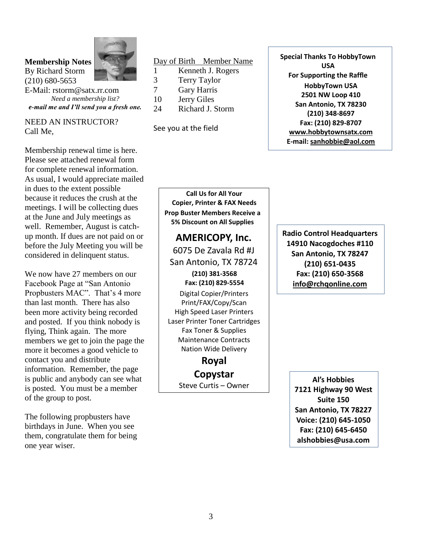#### **Membership Notes** By Richard Storm (210) 680-5653



E-Mail: rstorm@satx.rr.com *Need a membership list? e-mail me and I'll send you a fresh one.*

NEED AN INSTRUCTOR? Call Me,

Membership renewal time is here. Please see attached renewal form for complete renewal information. As usual, I would appreciate mailed in dues to the extent possible because it reduces the crush at the meetings. I will be collecting dues at the June and July meetings as well. Remember, August is catchup month. If dues are not paid on or before the July Meeting you will be considered in delinquent status.

We now have 27 members on our Facebook Page at "San Antonio Propbusters MAC". That's 4 more than last month. There has also been more activity being recorded and posted. If you think nobody is flying, Think again. The more members we get to join the page the more it becomes a good vehicle to contact you and distribute information. Remember, the page is public and anybody can see what is posted. You must be a member of the group to post.

The following propbusters have birthdays in June. When you see them, congratulate them for being one year wiser.

#### Day of Birth Member Name

- 1 Kenneth J. Rogers
- 3 Terry Taylor
- 7 Gary Harris
- 10 Jerry Giles
- 24 Richard J. Storm

See you at the field

**Special Thanks To HobbyTown USA For Supporting the Raffle HobbyTown USA 2501 NW Loop 410 San Antonio, TX 78230 (210) 348-8697 Fax: (210) 829-8707 [www.hobbytownsatx.com](http://www.hobbytownsatx.com/) E-mail: [sanhobbie@aol.com](mailto:sanhobbie@aol.com)**

**Call Us for All Your Copier, Printer & FAX Needs Prop Buster Members Receive a**

**5% Discount on All Supplies**

#### **AMERICOPY, Inc.** 6075 De Zavala Rd #J San Antonio, TX 78724 **(210) 381-3568**

**Fax: (210) 829-5554**

Digital Copier/Printers Print/FAX/Copy/Scan High Speed Laser Printers Laser Printer Toner Cartridges Fax Toner & Supplies Maintenance Contracts Nation Wide Delivery

> **Royal Copystar** Steve Curtis – Owner

**Radio Control Headquarters 14910 Nacogdoches #110 San Antonio, TX 78247 (210) 651-0435 Fax: (210) 650-3568 [info@rchqonline.com](mailto:info@rchqonline.com)**

> **Al's Hobbies 7121 Highway 90 West Suite 150 San Antonio, TX 78227 Voice: (210) 645-1050 Fax: (210) 645-6450 alshobbies@usa.com**